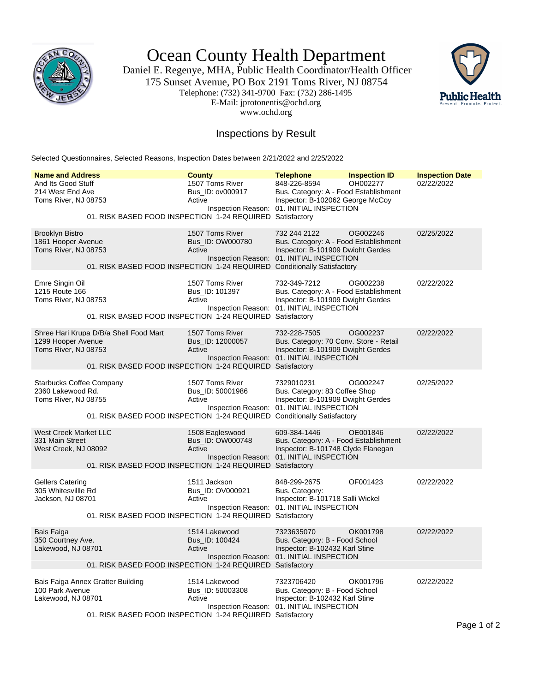

Ocean County Health Department

Daniel E. Regenye, MHA, Public Health Coordinator/Health Officer 175 Sunset Avenue, PO Box 2191 Toms River, NJ 08754 Telephone: (732) 341-9700 Fax: (732) 286-1495 E-Mail: jprotonentis@ochd.org www.ochd.org



## Inspections by Result

Selected Questionnaires, Selected Reasons, Inspection Dates between 2/21/2022 and 2/25/2022

| <b>Name and Address</b><br>And Its Good Stuff<br>214 West End Ave<br>Toms River, NJ 08753 |                                                                                                     | <b>County</b><br>1507 Toms River<br>Bus ID: ov000917<br>Active | <b>Telephone</b><br>848-226-8594<br>Bus. Category: A - Food Establishment<br>Inspector: B-102062 George McCoy<br>Inspection Reason: 01. INITIAL INSPECTION | <b>Inspection ID</b><br>OH002277 | <b>Inspection Date</b><br>02/22/2022 |
|-------------------------------------------------------------------------------------------|-----------------------------------------------------------------------------------------------------|----------------------------------------------------------------|------------------------------------------------------------------------------------------------------------------------------------------------------------|----------------------------------|--------------------------------------|
|                                                                                           | 01. RISK BASED FOOD INSPECTION 1-24 REQUIRED Satisfactory                                           |                                                                |                                                                                                                                                            |                                  |                                      |
| <b>Brooklyn Bistro</b><br>1861 Hooper Avenue<br>Toms River, NJ 08753                      | 01. RISK BASED FOOD INSPECTION 1-24 REQUIRED Conditionally Satisfactory                             | 1507 Toms River<br>Bus_ID: OW000780<br>Active                  | 732 244 2122<br>Bus. Category: A - Food Establishment<br>Inspector: B-101909 Dwight Gerdes<br>Inspection Reason: 01. INITIAL INSPECTION                    | OG002246                         | 02/25/2022                           |
| Emre Singin Oil<br>1215 Route 166<br>Toms River, NJ 08753                                 | 01. RISK BASED FOOD INSPECTION 1-24 REQUIRED Satisfactory                                           | 1507 Toms River<br>Bus ID: 101397<br>Active                    | 732-349-7212<br>Bus. Category: A - Food Establishment<br>Inspector: B-101909 Dwight Gerdes<br>Inspection Reason: 01. INITIAL INSPECTION                    | OG002238                         | 02/22/2022                           |
| 1299 Hooper Avenue<br>Toms River, NJ 08753                                                | Shree Hari Krupa D/B/a Shell Food Mart<br>01. RISK BASED FOOD INSPECTION 1-24 REQUIRED Satisfactory | 1507 Toms River<br>Bus_ID: 12000057<br>Active                  | 732-228-7505<br>Bus. Category: 70 Conv. Store - Retail<br>Inspector: B-101909 Dwight Gerdes<br>Inspection Reason: 01. INITIAL INSPECTION                   | OG002237                         | 02/22/2022                           |
| <b>Starbucks Coffee Company</b><br>2360 Lakewood Rd.<br>Toms River, NJ 08755              | 01. RISK BASED FOOD INSPECTION 1-24 REQUIRED Conditionally Satisfactory                             | 1507 Toms River<br>Bus_ID: 50001986<br>Active                  | 7329010231<br>Bus. Category: 83 Coffee Shop<br>Inspector: B-101909 Dwight Gerdes<br>Inspection Reason: 01. INITIAL INSPECTION                              | OG002247                         | 02/25/2022                           |
| <b>West Creek Market LLC</b><br>331 Main Street<br>West Creek, NJ 08092                   | 01. RISK BASED FOOD INSPECTION 1-24 REQUIRED Satisfactory                                           | 1508 Eagleswood<br>Bus_ID: OW000748<br>Active                  | 609-384-1446<br>Bus. Category: A - Food Establishment<br>Inspector: B-101748 Clyde Flanegan<br>Inspection Reason: 01. INITIAL INSPECTION                   | OE001846                         | 02/22/2022                           |
| <b>Gellers Catering</b><br>305 Whitesvillle Rd<br>Jackson, NJ 08701                       | 01. RISK BASED FOOD INSPECTION 1-24 REQUIRED Satisfactory                                           | 1511 Jackson<br>Bus_ID: OV000921<br>Active                     | 848-299-2675<br>Bus. Category:<br>Inspector: B-101718 Salli Wickel<br>Inspection Reason: 01. INITIAL INSPECTION                                            | OF001423                         | 02/22/2022                           |
| Bais Faiga<br>350 Courtney Ave.<br>Lakewood, NJ 08701                                     | 01. RISK BASED FOOD INSPECTION 1-24 REQUIRED Satisfactory                                           | 1514 Lakewood<br>Bus_ID: 100424<br>Active                      | 7323635070<br>Bus. Category: B - Food School<br>Inspector: B-102432 Karl Stine<br>Inspection Reason: 01. INITIAL INSPECTION                                | OK001798                         | 02/22/2022                           |
| Bais Faiga Annex Gratter Building<br>100 Park Avenue<br>Lakewood, NJ 08701                | 01. RISK BASED FOOD INSPECTION 1-24 REQUIRED Satisfactory                                           | 1514 Lakewood<br>Bus_ID: 50003308<br>Active                    | 7323706420<br>Bus. Category: B - Food School<br>Inspector: B-102432 Karl Stine<br>Inspection Reason: 01. INITIAL INSPECTION                                | OK001796                         | 02/22/2022                           |